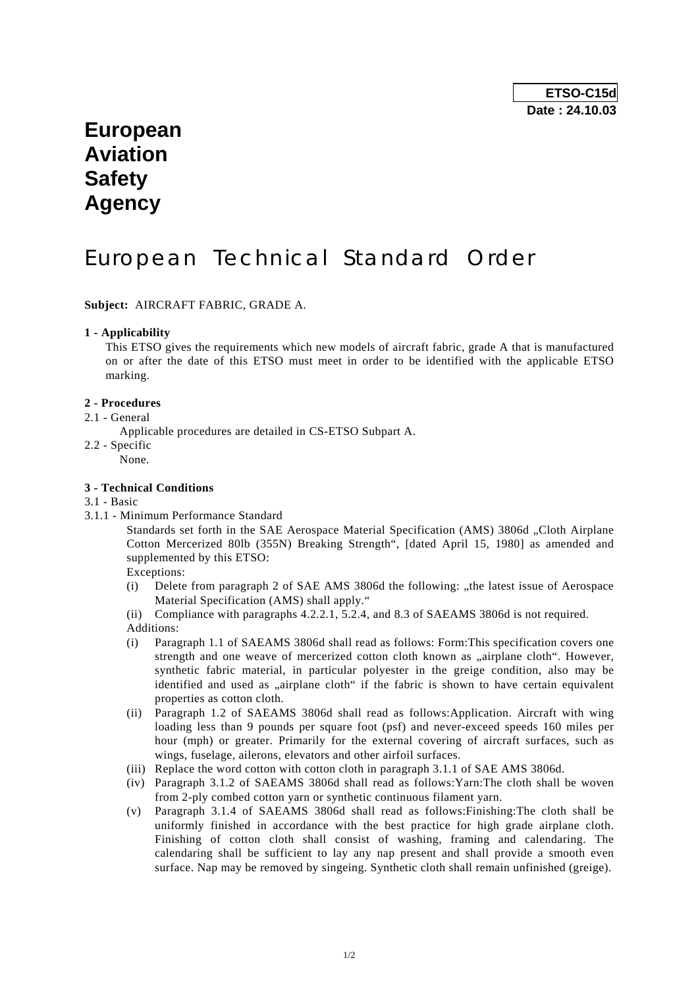# **European Aviation Safety Agency**

# European Technical Standard Order

**Subject:** AIRCRAFT FABRIC, GRADE A.

#### **1 - Applicability**

 This ETSO gives the requirements which new models of aircraft fabric, grade A that is manufactured on or after the date of this ETSO must meet in order to be identified with the applicable ETSO marking.

#### **2 - Procedures**

- 2.1 General
	- Applicable procedures are detailed in CS-ETSO Subpart A.
- 2.2 Specific
	- None.

#### **3 - Technical Conditions**

- 3.1 Basic
- 3.1.1 Minimum Performance Standard

Standards set forth in the SAE Aerospace Material Specification (AMS) 3806d "Cloth Airplane Cotton Mercerized 80lb (355N) Breaking Strength", [dated April 15, 1980] as amended and supplemented by this ETSO:

Exceptions:

(i) Delete from paragraph 2 of SAE AMS 3806d the following:  $\mu$  the latest issue of Aerospace Material Specification (AMS) shall apply."

(ii) Compliance with paragraphs 4.2.2.1, 5.2.4, and 8.3 of SAEAMS 3806d is not required. Additions:

- (i) Paragraph 1.1 of SAEAMS 3806d shall read as follows: Form:This specification covers one strength and one weave of mercerized cotton cloth known as "airplane cloth". However, synthetic fabric material, in particular polyester in the greige condition, also may be identified and used as "airplane cloth" if the fabric is shown to have certain equivalent properties as cotton cloth.
- (ii) Paragraph 1.2 of SAEAMS 3806d shall read as follows:Application. Aircraft with wing loading less than 9 pounds per square foot (psf) and never-exceed speeds 160 miles per hour (mph) or greater. Primarily for the external covering of aircraft surfaces, such as wings, fuselage, ailerons, elevators and other airfoil surfaces.
- (iii) Replace the word cotton with cotton cloth in paragraph 3.1.1 of SAE AMS 3806d.
- (iv) Paragraph 3.1.2 of SAEAMS 3806d shall read as follows:Yarn:The cloth shall be woven from 2-ply combed cotton yarn or synthetic continuous filament yarn.
- (v) Paragraph 3.1.4 of SAEAMS 3806d shall read as follows:Finishing:The cloth shall be uniformly finished in accordance with the best practice for high grade airplane cloth. Finishing of cotton cloth shall consist of washing, framing and calendaring. The calendaring shall be sufficient to lay any nap present and shall provide a smooth even surface. Nap may be removed by singeing. Synthetic cloth shall remain unfinished (greige).